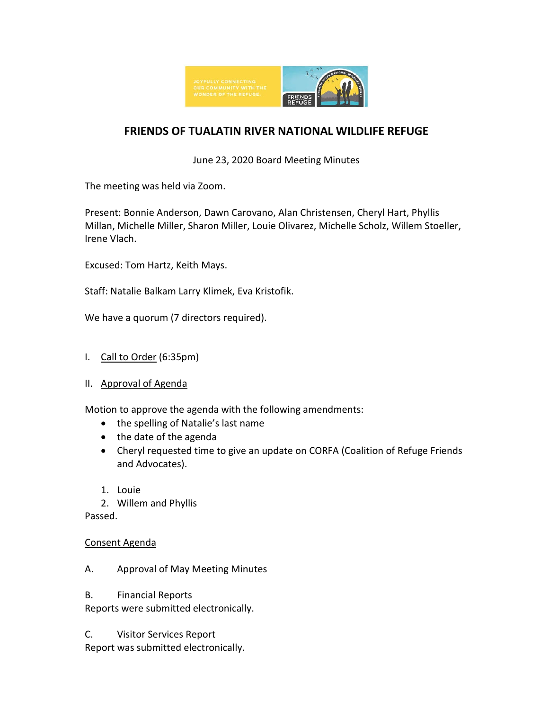

## **FRIENDS OF TUALATIN RIVER NATIONAL WILDLIFE REFUGE**

June 23, 2020 Board Meeting Minutes

The meeting was held via Zoom.

Present: Bonnie Anderson, Dawn Carovano, Alan Christensen, Cheryl Hart, Phyllis Millan, Michelle Miller, Sharon Miller, Louie Olivarez, Michelle Scholz, Willem Stoeller, Irene Vlach.

Excused: Tom Hartz, Keith Mays.

Staff: Natalie Balkam Larry Klimek, Eva Kristofik.

We have a quorum (7 directors required).

- I. Call to Order (6:35pm)
- II. Approval of Agenda

Motion to approve the agenda with the following amendments:

- the spelling of Natalie's last name
- the date of the agenda
- Cheryl requested time to give an update on CORFA (Coalition of Refuge Friends and Advocates).
- 1. Louie
- 2. Willem and Phyllis

Passed.

#### Consent Agenda

- A. Approval of May Meeting Minutes
- B. Financial Reports

Reports were submitted electronically.

C. Visitor Services Report Report was submitted electronically.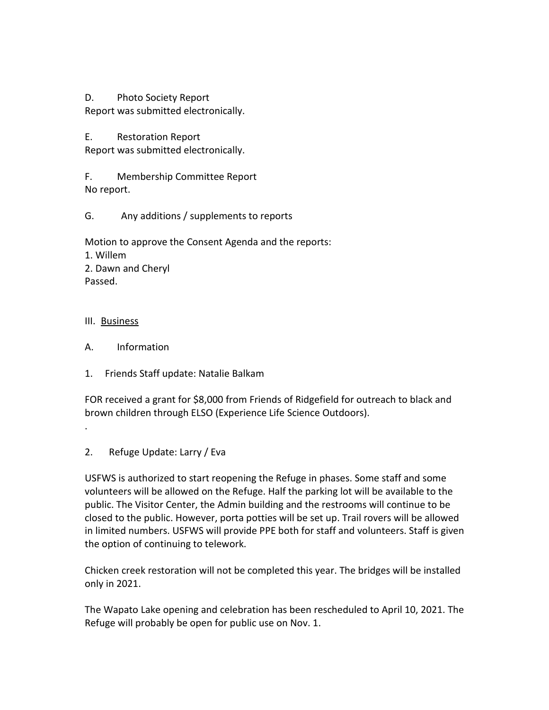D. Photo Society Report Report was submitted electronically.

E. Restoration Report Report was submitted electronically.

F. Membership Committee Report No report.

G. Any additions / supplements to reports

Motion to approve the Consent Agenda and the reports: 1. Willem 2. Dawn and Cheryl Passed.

### III. Business

- A. Information
- 1. Friends Staff update: Natalie Balkam

FOR received a grant for \$8,000 from Friends of Ridgefield for outreach to black and brown children through ELSO (Experience Life Science Outdoors).

- .
- 2. Refuge Update: Larry / Eva

USFWS is authorized to start reopening the Refuge in phases. Some staff and some volunteers will be allowed on the Refuge. Half the parking lot will be available to the public. The Visitor Center, the Admin building and the restrooms will continue to be closed to the public. However, porta potties will be set up. Trail rovers will be allowed in limited numbers. USFWS will provide PPE both for staff and volunteers. Staff is given the option of continuing to telework.

Chicken creek restoration will not be completed this year. The bridges will be installed only in 2021.

The Wapato Lake opening and celebration has been rescheduled to April 10, 2021. The Refuge will probably be open for public use on Nov. 1.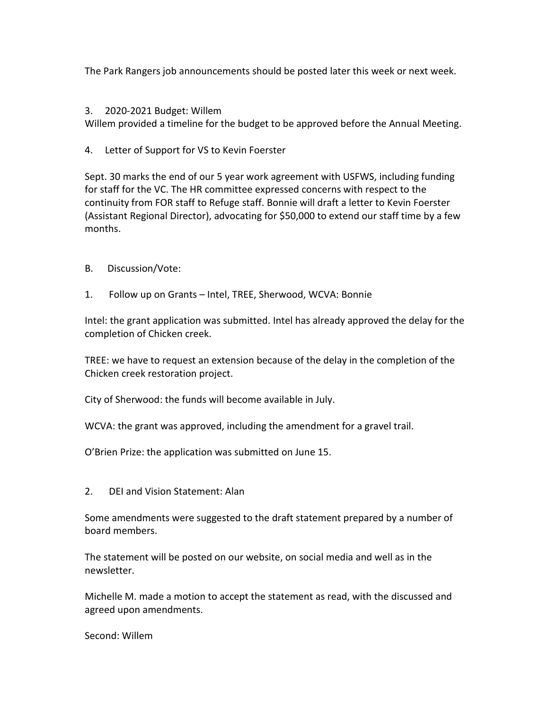The Park Rangers job announcements should be posted later this week or next week.

#### 3. 2020-2021 Budget: Willem

Willem provided a timeline for the budget to be approved before the Annual Meeting.

4. Letter of Support for VS to Kevin Foerster

Sept. 30 marks the end of our 5 year work agreement with USFWS, including funding for staff for the VC. The HR committee expressed concerns with respect to the continuity from FOR staff to Refuge staff. Bonnie will draft a letter to Kevin Foerster (Assistant Regional Director), advocating for \$50,000 to extend our staff time by a few months.

- B. Discussion/Vote:
- 1. Follow up on Grants Intel, TREE, Sherwood, WCVA: Bonnie

Intel: the grant application was submitted. Intel has already approved the delay for the completion of Chicken creek.

TREE: we have to request an extension because of the delay in the completion of the Chicken creek restoration project.

City of Sherwood: the funds will become available in July.

WCVA: the grant was approved, including the amendment for a gravel trail.

O'Brien Prize: the application was submitted on June 15.

2. DEI and Vision Statement: Alan

Some amendments were suggested to the draft statement prepared by a number of board members.

The statement will be posted on our website, on social media and well as in the newsletter.

Michelle M. made a motion to accept the statement as read, with the discussed and agreed upon amendments.

Second: Willem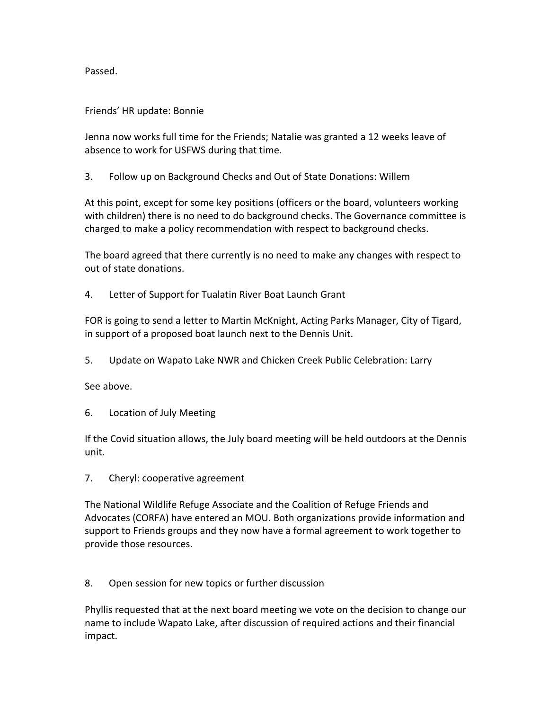Passed.

#### Friends' HR update: Bonnie

Jenna now works full time for the Friends; Natalie was granted a 12 weeks leave of absence to work for USFWS during that time.

3. Follow up on Background Checks and Out of State Donations: Willem

At this point, except for some key positions (officers or the board, volunteers working with children) there is no need to do background checks. The Governance committee is charged to make a policy recommendation with respect to background checks.

The board agreed that there currently is no need to make any changes with respect to out of state donations.

4. Letter of Support for Tualatin River Boat Launch Grant

FOR is going to send a letter to Martin McKnight, Acting Parks Manager, City of Tigard, in support of a proposed boat launch next to the Dennis Unit.

5. Update on Wapato Lake NWR and Chicken Creek Public Celebration: Larry

See above.

6. Location of July Meeting

If the Covid situation allows, the July board meeting will be held outdoors at the Dennis unit.

7. Cheryl: cooperative agreement

The National Wildlife Refuge Associate and the Coalition of Refuge Friends and Advocates (CORFA) have entered an MOU. Both organizations provide information and support to Friends groups and they now have a formal agreement to work together to provide those resources.

8. Open session for new topics or further discussion

Phyllis requested that at the next board meeting we vote on the decision to change our name to include Wapato Lake, after discussion of required actions and their financial impact.